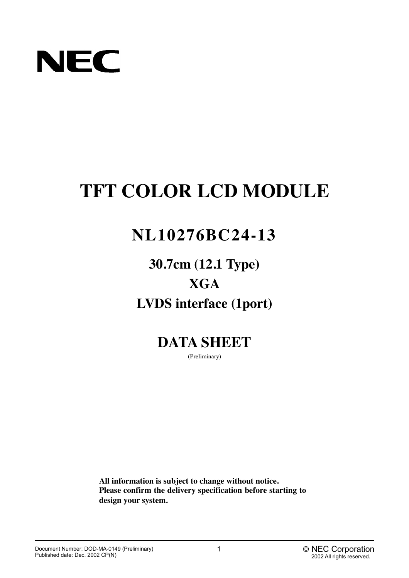

# **TFT COLOR LCD MODULE**

# **NL10276BC24-13**

**30.7cm (12.1 Type) XGA LVDS interface (1port)**

**DATA SHEET**

(Preliminary)

**All information is subject to change without notice. Please confirm the delivery specification before starting to design your system.**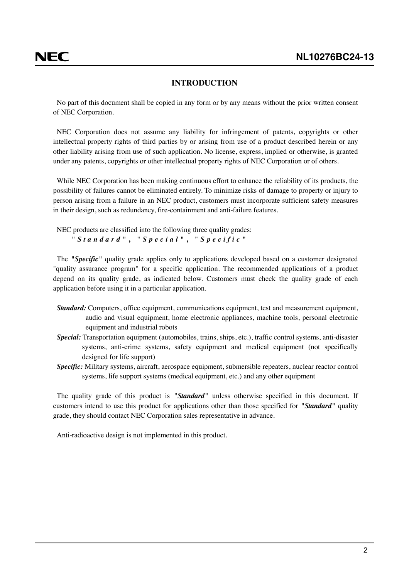### **INTRODUCTION**

<span id="page-1-0"></span>No part of this document shall be copied in any form or by any means without the prior written consent of NEC Corporation.

NEC Corporation does not assume any liability for infringement of patents, copyrights or other intellectual property rights of third parties by or arising from use of a product described herein or any other liability arising from use of such application. No license, express, implied or otherwise, is granted under any patents, copyrights or other intellectual property rights of NEC Corporation or of others.

While NEC Corporation has been making continuous effort to enhance the reliability of its products, the possibility of failures cannot be eliminated entirely. To minimize risks of damage to property or injury to person arising from a failure in an NEC product, customers must incorporate sufficient safety measures in their design, such as redundancy, fire-containment and anti-failure features.

NEC products are classified into the following three quality grades: *"Standard"* **,** *"Special"* **,** *"Specific"*

The *"Specific"* quality grade applies only to applications developed based on a customer designated "quality assurance program" for a specific application. The recommended applications of a product depend on its quality grade, as indicated below. Customers must check the quality grade of each application before using it in a particular application.

- *Standard:* Computers, office equipment, communications equipment, test and measurement equipment, audio and visual equipment, home electronic appliances, machine tools, personal electronic equipment and industrial robots
- *Special:* Transportation equipment (automobiles, trains, ships, etc.), traffic control systems, anti-disaster systems, anti-crime systems, safety equipment and medical equipment (not specifically designed for life support)
- *Specific:* Military systems, aircraft, aerospace equipment, submersible repeaters, nuclear reactor control systems, life support systems (medical equipment, etc.) and any other equipment

The quality grade of this product is *"Standard"* unless otherwise specified in this document. If customers intend to use this product for applications other than those specified for *"Standard"* quality grade, they should contact NEC Corporation sales representative in advance.

Anti-radioactive design is not implemented in this product.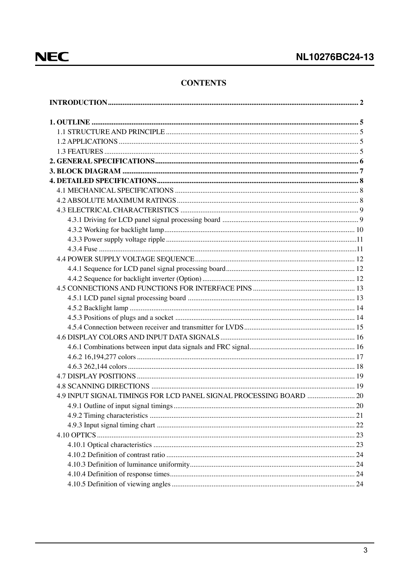### **CONTENTS**

| 4.9 INPUT SIGNAL TIMINGS FOR LCD PANEL SIGNAL PROCESSING BOARD  20 |      |
|--------------------------------------------------------------------|------|
|                                                                    | . 20 |
|                                                                    |      |
|                                                                    |      |
|                                                                    |      |
|                                                                    |      |
|                                                                    |      |
|                                                                    |      |
|                                                                    |      |
|                                                                    |      |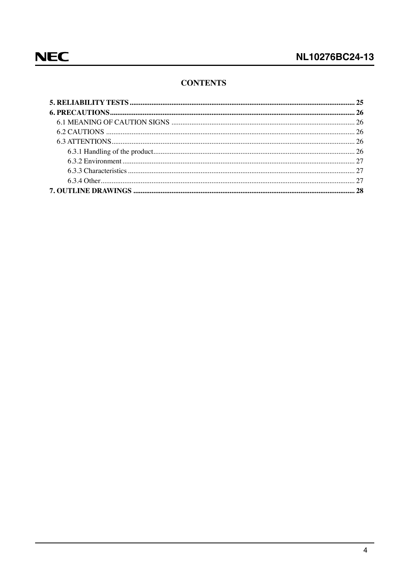### **CONTENTS**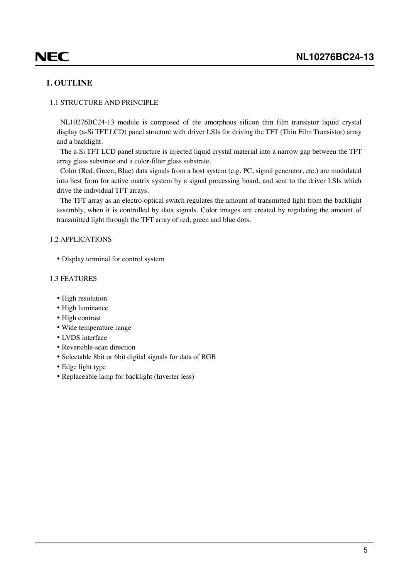# <span id="page-4-0"></span>**NEC**

### **1. OUTLINE**

### 1.1 STRUCTURE AND PRINCIPLE

NL10276BC24-13 module is composed of the amorphous silicon thin film transistor liquid crystal display (a-Si TFT LCD) panel structure with driver LSIs for driving the TFT (Thin Film Transistor) array and a backlight.

The a-Si TFT LCD panel structure is injected liquid crystal material into a narrow gap between the TFT array glass substrate and a color-filter glass substrate.

Color (Red, Green, Blue) data signals from a host system (e.g. PC, signal generator, etc.) are modulated into best form for active matrix system by a signal processing board, and sent to the driver LSIs which drive the individual TFT arrays.

The TFT array as an electro-optical switch regulates the amount of transmitted light from the backlight assembly, when it is controlled by data signals. Color images are created by regulating the amount of transmitted light through the TFT array of red, green and blue dots.

### 1.2 APPLICATIONS

• Display terminal for control system

### 1.3 FEATURES

- High resolution
- High luminance
- High contrast
- Wide temperature range
- LVDS interface
- Reversible-scan direction
- Selectable 8bit or 6bit digital signals for data of RGB
- Edge light type
- Replaceable lamp for backlight (Inverter less)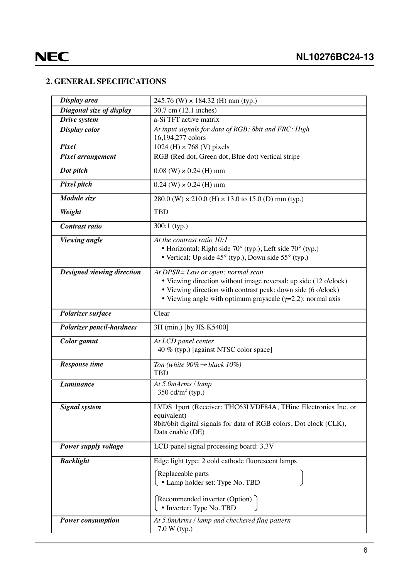### <span id="page-5-0"></span>**2. GENERAL SPECIFICATIONS**

| Display area               | $245.76$ (W) $\times$ 184.32 (H) mm (typ.)                             |
|----------------------------|------------------------------------------------------------------------|
| Diagonal size of display   | 30.7 cm (12.1 inches)                                                  |
| Drive system               | a-Si TFT active matrix                                                 |
| Display color              | At input signals for data of RGB: 8bit and FRC: High                   |
|                            | 16,194,277 colors                                                      |
| Pixel                      | 1024 (H) $\times$ 768 (V) pixels                                       |
| Pixel arrangement          | RGB (Red dot, Green dot, Blue dot) vertical stripe                     |
| Dot pitch                  | $0.08$ (W) $\times$ 0.24 (H) mm                                        |
| Pixel pitch                | $0.24$ (W) $\times$ 0.24 (H) mm                                        |
| Module size                | $280.0$ (W) $\times$ 210.0 (H) $\times$ 13.0 to 15.0 (D) mm (typ.)     |
| Weight                     | <b>TBD</b>                                                             |
| Contrast ratio             | $300:1$ (typ.)                                                         |
| <b>Viewing</b> angle       | At the contrast ratio 10:1                                             |
|                            | • Horizontal: Right side 70° (typ.), Left side 70° (typ.)              |
|                            | • Vertical: Up side $45^{\circ}$ (typ.), Down side $55^{\circ}$ (typ.) |
| Designed viewing direction | At DPSR= Low or open: normal scan                                      |
|                            | • Viewing direction without image reversal: up side (12 o'clock)       |
|                            | • Viewing direction with contrast peak: down side (6 o'clock)          |
|                            | • Viewing angle with optimum grayscale $(\gamma=2.2)$ : normal axis    |
| Polarizer surface          | Clear                                                                  |
| Polarizer pencil-hardness  | 3H (min.) [by JIS K5400]                                               |
| Color gamut                | At LCD panel center<br>40 % (typ.) [against NTSC color space]          |
| <b>Response time</b>       | Ton (white $90\% \rightarrow black 10\%$ )                             |
|                            | <b>TBD</b>                                                             |
| Luminance                  | At 5.0mArms / lamp                                                     |
|                            | 350 cd/ $m^2$ (typ.)                                                   |
| <b>Signal</b> system       | LVDS 1port (Receiver: THC63LVDF84A, THine Electronics Inc. or          |
|                            | equivalent)                                                            |
|                            | 8bit/6bit digital signals for data of RGB colors, Dot clock (CLK),     |
|                            | Data enable (DE)                                                       |
| Power supply voltage       | LCD panel signal processing board: 3.3V                                |
| <b>Backlight</b>           | Edge light type: 2 cold cathode fluorescent lamps                      |
|                            | Replaceable parts                                                      |
|                            | $\bigcup$ • Lamp holder set: Type No. TBD                              |
|                            |                                                                        |
|                            | Recommended inverter (Option)                                          |
|                            | $\cdot$ Inverter: Type No. TBD                                         |
| <b>Power consumption</b>   | At 5.0mArms / lamp and checkered flag pattern                          |
|                            | $7.0 W$ (typ.)                                                         |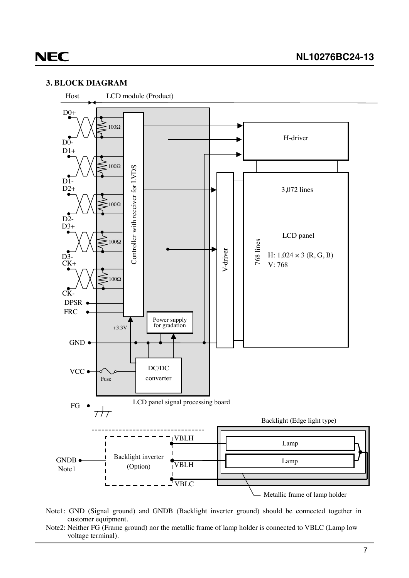### <span id="page-6-0"></span>**3. BLOCK DIAGRAM**



- Note1: GND (Signal ground) and GNDB (Backlight inverter ground) should be connected together in customer equipment.
- Note2: Neither FG (Frame ground) nor the metallic frame of lamp holder is connected to VBLC (Lamp low voltage terminal).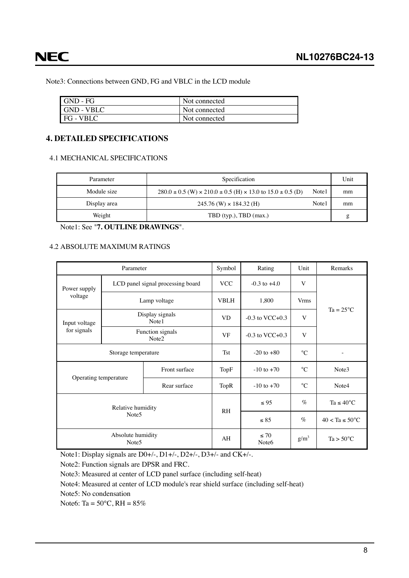<span id="page-7-0"></span>**NEC** 

Note3: Connections between GND, FG and VBLC in the LCD module

| I GND - FG       | Not connected |
|------------------|---------------|
| I GND - VBLC     | Not connected |
| <b>FG</b> - VBLC | Not connected |

### **4. DETAILED SPECIFICATIONS**

### 4.1 MECHANICAL SPECIFICATIONS

| Parameter    | Specification                                                                      |        | Unit |
|--------------|------------------------------------------------------------------------------------|--------|------|
| Module size  | $280.0 \pm 0.5$ (W) $\times 210.0 \pm 0.5$ (H) $\times 13.0$ to $15.0 \pm 0.5$ (D) | Note 1 | mm   |
| Display area | $245.76$ (W) $\times$ 184.32 (H)                                                   | Note1  | mm   |
| Weight       | TBD (typ.), TBD (max.)                                                             |        | g    |

Note1: See "**7. OUTLINE DRAWINGS**".

### 4.2 ABSOLUTE MAXIMUM RATINGS

| Parameter                              |                                   |                          | Symbol         | Rating                         | Unit            | Remarks                    |  |
|----------------------------------------|-----------------------------------|--------------------------|----------------|--------------------------------|-----------------|----------------------------|--|
| Power supply                           | LCD panel signal processing board |                          | <b>VCC</b>     | $-0.3$ to $+4.0$               | V               |                            |  |
| voltage                                |                                   | Lamp voltage             | <b>VBLH</b>    | 1,800                          | <b>Vrms</b>     | $Ta = 25^{\circ}C$         |  |
| Input voltage                          |                                   | Display signals<br>Note1 | <b>VD</b>      | $-0.3$ to VCC $+0.3$           | V               |                            |  |
| for signals                            | Function signals<br>Note2         |                          | <b>VF</b>      | $-0.3$ to VCC $+0.3$           | V               |                            |  |
| Storage temperature                    |                                   | <b>Tst</b>               | $-20$ to $+80$ | $^{\circ}C$                    |                 |                            |  |
| Operating temperature                  |                                   | Front surface            | TopF           | $-10$ to $+70$                 | $\rm ^{\circ}C$ | Note3                      |  |
|                                        |                                   | Rear surface             | <b>TopR</b>    | $-10$ to $+70$                 | $\rm ^{\circ}C$ | Note4                      |  |
| Relative humidity<br>Note <sub>5</sub> |                                   |                          | R <sub>H</sub> | $\leq 95$                      | $\%$            | Ta $\leq 40^{\circ}$ C     |  |
|                                        |                                   |                          |                | $\leq 85$                      | $\%$            | $40 < Ta \leq 50^{\circ}C$ |  |
| Absolute humidity<br>Note <sub>5</sub> |                                   |                          | AH             | $\leq 70$<br>Note <sub>6</sub> | $g/m^3$         | $Ta > 50^{\circ}C$         |  |

Note1: Display signals are D0+/-, D1+/-, D2+/-, D3+/- and CK+/-.

Note2: Function signals are DPSR and FRC.

Note3: Measured at center of LCD panel surface (including self-heat)

Note4: Measured at center of LCD module's rear shield surface (including self-heat)

Note5: No condensation

Note6: Ta =  $50^{\circ}$ C, RH =  $85\%$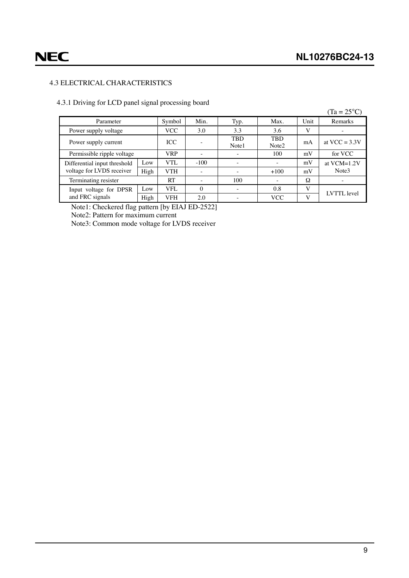### <span id="page-8-0"></span>4.3 ELECTRICAL CHARACTERISTICS

### 4.3.1 Driving for LCD panel signal processing board

|                              |      |            |                          |                          |                                 |      | $(Ta = 25^{\circ}C)$ |
|------------------------------|------|------------|--------------------------|--------------------------|---------------------------------|------|----------------------|
| Parameter                    |      | Symbol     | Min.                     | Typ.                     | Max.                            | Unit | Remarks              |
| Power supply voltage         |      | <b>VCC</b> | 3.0                      | 3.3                      | 3.6                             | V    |                      |
| Power supply current         |      | ICC        |                          | <b>TBD</b><br>Note1      | <b>TBD</b><br>Note <sub>2</sub> | mA   | at VCC = $3.3V$      |
| Permissible ripple voltage   |      | <b>VRP</b> |                          |                          | 100                             | mV   | for VCC              |
| Differential input threshold | Low  | VTL        | $-100$                   | $\overline{\phantom{a}}$ |                                 | mV   | at VCM=1.2V          |
| voltage for LVDS receiver    | High | <b>VTH</b> | $\overline{\phantom{a}}$ | $\overline{\phantom{0}}$ | $+100$                          | mV   | Note3                |
| Terminating resister         |      | RT         | $\overline{\phantom{a}}$ | 100                      | $\overline{\phantom{a}}$        | Ω    |                      |
| Input voltage for DPSR       | Low  | VFL        | $\Omega$                 | $\overline{\phantom{a}}$ | 0.8                             | V    | LVTTL level          |
| and FRC signals              | High | <b>VFH</b> | 2.0                      |                          | <b>VCC</b>                      | V    |                      |

Note1: Checkered flag pattern [by EIAJ ED-2522]

Note2: Pattern for maximum current

Note3: Common mode voltage for LVDS receiver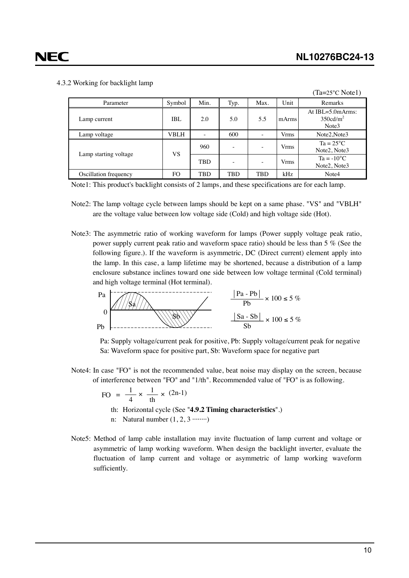### <span id="page-9-0"></span>4.3.2 Working for backlight lamp

|                       |        |            |      |                          |             | $(Ta=25^{\circ}C Note1)$                                 |
|-----------------------|--------|------------|------|--------------------------|-------------|----------------------------------------------------------|
| Parameter             | Symbol | Min.       | Typ. | Max.                     | Unit        | Remarks                                                  |
| Lamp current          | IBL    | 2.0        | 5.0  | 5.5                      | mArms       | At $IBL=5.0$ m $Arms$ :<br>350cd/m <sup>2</sup><br>Note3 |
| Lamp voltage          | VBLH   | -          | 600  | ۰                        | <b>Vrms</b> | Note2, Note3                                             |
|                       |        | 960        | -    | $\overline{\phantom{a}}$ | <b>Vrms</b> | $Ta = 25^{\circ}C$<br>Note2, Note3                       |
| Lamp starting voltage | VS     | <b>TBD</b> |      | $\overline{\phantom{a}}$ | <b>Vrms</b> | $Ta = -10^{\circ}C$<br>Note2, Note3                      |
| Oscillation frequency | FO     | TBD        | TBD  | TBD                      | kHz         | Note4                                                    |

Note1: This product's backlight consists of 2 lamps, and these specifications are for each lamp.

- Note2: The lamp voltage cycle between lamps should be kept on a same phase. "VS" and "VBLH" are the voltage value between low voltage side (Cold) and high voltage side (Hot).
- Note3: The asymmetric ratio of working waveform for lamps (Power supply voltage peak ratio, power supply current peak ratio and waveform space ratio) should be less than 5 % (See the following figure.). If the waveform is asymmetric, DC (Direct current) element apply into the lamp. In this case, a lamp lifetime may be shortened, because a distribution of a lamp enclosure substance inclines toward one side between low voltage terminal (Cold terminal) and high voltage terminal (Hot terminal).





Note4: In case "FO" is not the recommended value, beat noise may display on the screen, because of interference between "FO" and "1/th". Recommended value of "FO" is as following.

$$
FO = \frac{1}{4} \times \frac{1}{th} \times (2n-1)
$$

th: Horizontal cycle (See "**4.9.2 Timing characteristics**".)

- n: Natural number  $(1, 2, 3 \cdot \cdot \cdot \cdot \cdot \cdot \cdot)$
- Note5: Method of lamp cable installation may invite fluctuation of lamp current and voltage or asymmetric of lamp working waveform. When design the backlight inverter, evaluate the fluctuation of lamp current and voltage or asymmetric of lamp working waveform sufficiently.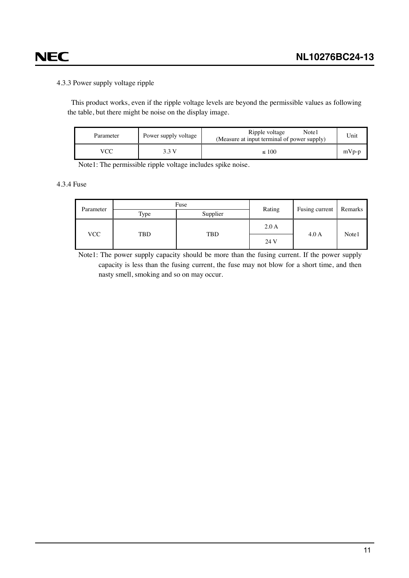# <span id="page-10-0"></span>**NEC**

### 4.3.3 Power supply voltage ripple

This product works, even if the ripple voltage levels are beyond the permissible values as following the table, but there might be noise on the display image.

| Parameter | Power supply voltage | Ripple voltage<br>Note1<br>(Measure at input terminal of power supply) | Unit    |
|-----------|----------------------|------------------------------------------------------------------------|---------|
|           |                      | $\leq 100$                                                             | $mVp-p$ |

Note1: The permissible ripple voltage includes spike noise.

### 4.3.4 Fuse

| Parameter | Fuse |            |        | Remarks        |       |
|-----------|------|------------|--------|----------------|-------|
|           | Type | Supplier   | Rating | Fusing current |       |
| VCC       | TBD  | <b>TBD</b> | 2.0A   | 4.0A           | Note1 |
|           |      |            | 24 V   |                |       |

Note1: The power supply capacity should be more than the fusing current. If the power supply capacity is less than the fusing current, the fuse may not blow for a short time, and then nasty smell, smoking and so on may occur.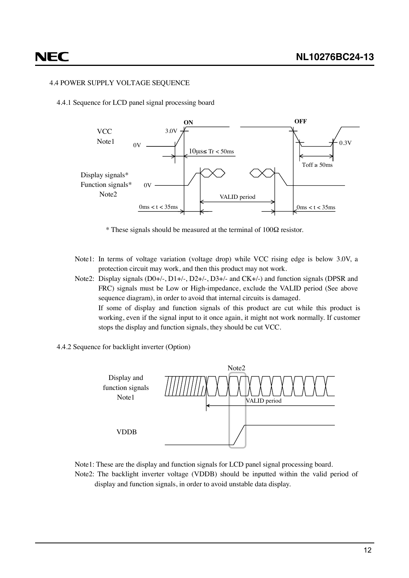### <span id="page-11-0"></span>4.4 POWER SUPPLY VOLTAGE SEQUENCE

4.4.1 Sequence for LCD panel signal processing board



\* These signals should be measured at the terminal of  $100\Omega$  resistor.

Note1: In terms of voltage variation (voltage drop) while VCC rising edge is below 3.0V, a protection circuit may work, and then this product may not work.

Note2: Display signals (D0+/-, D1+/-, D2+/-, D3+/- and CK+/-) and function signals (DPSR and FRC) signals must be Low or High-impedance, exclude the VALID period (See above sequence diagram), in order to avoid that internal circuits is damaged. If some of display and function signals of this product are cut while this product is working, even if the signal input to it once again, it might not work normally. If customer stops the display and function signals, they should be cut VCC.

4.4.2 Sequence for backlight inverter (Option)



Note1: These are the display and function signals for LCD panel signal processing board. Note2: The backlight inverter voltage (VDDB) should be inputted within the valid period of display and function signals, in order to avoid unstable data display.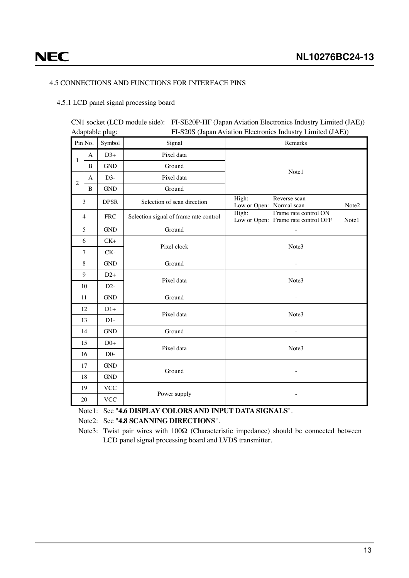# <span id="page-12-0"></span>**NEC**

### 4.5 CONNECTIONS AND FUNCTIONS FOR INTERFACE PINS

### 4.5.1 LCD panel signal processing board

CN1 socket (LCD module side): FI-SE20P-HF (Japan Aviation Electronics Industry Limited (JAE)) Adaptable plug: FI-S20S (Japan Aviation Electronics Industry Limited (JAE))

| Pin No.        |                | Symbol               | Signal                                 | Remarks                                                                        |  |  |  |
|----------------|----------------|----------------------|----------------------------------------|--------------------------------------------------------------------------------|--|--|--|
|                | A              | $D3+$                | Pixel data                             |                                                                                |  |  |  |
| $\mathbf{1}$   | $\bf{B}$       | <b>GND</b>           | Ground                                 |                                                                                |  |  |  |
| A              |                | $D3-$                | Pixel data                             | Note1                                                                          |  |  |  |
| $\mathfrak{2}$ | B              | $\operatorname{GND}$ | Ground                                 |                                                                                |  |  |  |
|                | 3              | <b>DPSR</b>          | Selection of scan direction            | High:<br>Reverse scan<br>Low or Open: Normal scan<br>Note2                     |  |  |  |
|                | $\overline{4}$ | <b>FRC</b>           | Selection signal of frame rate control | High:<br>Frame rate control ON<br>Low or Open: Frame rate control OFF<br>Note1 |  |  |  |
|                | 5              | <b>GND</b>           | Ground                                 |                                                                                |  |  |  |
|                | 6              | $CK+$                | Pixel clock                            | Note3                                                                          |  |  |  |
|                | $\overline{7}$ | $CK-$                |                                        |                                                                                |  |  |  |
| 8              |                | <b>GND</b>           | Ground                                 |                                                                                |  |  |  |
| 9              |                | $D2+$                | Pixel data                             | Note3                                                                          |  |  |  |
|                | 10             | $D2-$                |                                        |                                                                                |  |  |  |
|                | 11             | <b>GND</b>           | Ground                                 |                                                                                |  |  |  |
|                | 12             | $D1+$                | Pixel data                             | Note3                                                                          |  |  |  |
|                | 13             | $D1-$                |                                        |                                                                                |  |  |  |
|                | 14             | <b>GND</b>           | Ground                                 | $\overline{\phantom{a}}$                                                       |  |  |  |
|                | 15             | $D0+$                | Pixel data                             | Note3                                                                          |  |  |  |
| 16             |                | $D0-$                |                                        |                                                                                |  |  |  |
| 17             |                | <b>GND</b>           | Ground                                 |                                                                                |  |  |  |
| 18             |                | <b>GND</b>           |                                        |                                                                                |  |  |  |
|                | 19             | <b>VCC</b>           |                                        |                                                                                |  |  |  |
| 20             |                | <b>VCC</b>           | Power supply                           |                                                                                |  |  |  |

### Note1: See "**4.6 DISPLAY COLORS AND INPUT DATA SIGNALS**".

Note2: See "**4.8 SCANNING DIRECTIONS**".

Note3: Twist pair wires with 100Ω (Characteristic impedance) should be connected between LCD panel signal processing board and LVDS transmitter.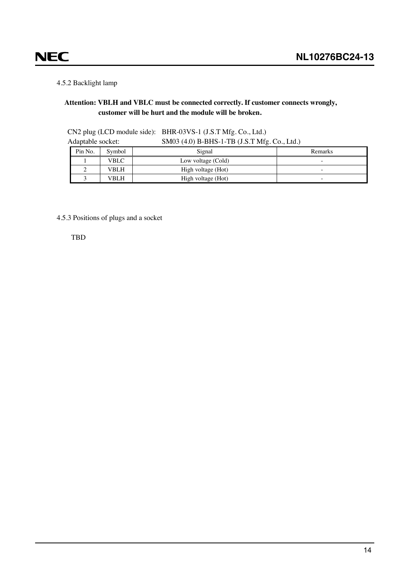### 4.5.2 Backlight lamp

<span id="page-13-0"></span>**NEC** 

### **Attention: VBLH and VBLC must be connected correctly. If customer connects wrongly, customer will be hurt and the module will be broken.**

| Adaptable socket: |         |        | SM03 (4.0) B-BHS-1-TB (J.S.T Mfg. Co., Ltd.) |                          |
|-------------------|---------|--------|----------------------------------------------|--------------------------|
|                   | Pin No. | Symbol | Signal                                       | Remarks                  |
|                   |         | VBLC   | Low voltage (Cold)                           | $\overline{\phantom{a}}$ |
|                   |         | VBLH   | High voltage (Hot)                           | -                        |
|                   |         | VBLH   | High voltage (Hot)                           | $\overline{\phantom{a}}$ |

CN2 plug (LCD module side): BHR-03VS-1 (J.S.T Mfg. Co., Ltd.)

4.5.3 Positions of plugs and a socket

TBD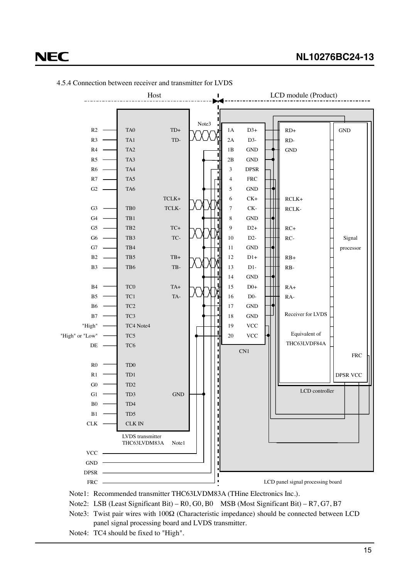

<span id="page-14-0"></span>4.5.4 Connection between receiver and transmitter for LVDS

Note1: Recommended transmitter THC63LVDM83A (THine Electronics Inc.).

- Note2: LSB (Least Significant Bit) R0, G0, B0 MSB (Most Significant Bit) R7, G7, B7
- Note3: Twist pair wires with 100Ω (Characteristic impedance) should be connected between LCD panel signal processing board and LVDS transmitter.
- Note4: TC4 should be fixed to "High".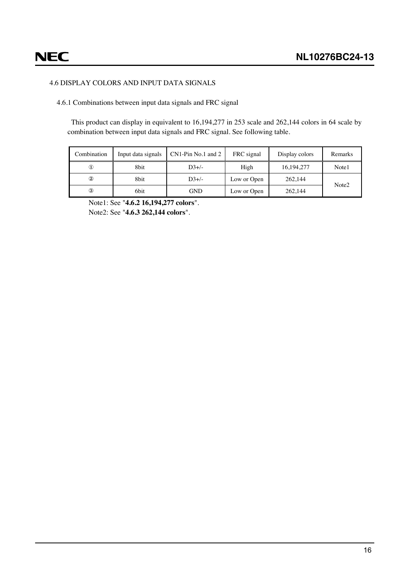### <span id="page-15-0"></span>4.6 DISPLAY COLORS AND INPUT DATA SIGNALS

4.6.1 Combinations between input data signals and FRC signal

This product can display in equivalent to 16,194,277 in 253 scale and 262,144 colors in 64 scale by combination between input data signals and FRC signal. See following table.

| Combination    | Input data signals | CN1-Pin No.1 and 2 | FRC signal  | Display colors | Remarks           |  |
|----------------|--------------------|--------------------|-------------|----------------|-------------------|--|
| ◑              | 8bit               | $D3+/-$            | High        | 16, 194, 277   | Note1             |  |
| $^{\circledR}$ | 8bit               | $D3+/-$            | Low or Open | 262,144        | Note <sub>2</sub> |  |
| 3              | 6bit               | <b>GND</b>         | Low or Open | 262,144        |                   |  |

Note1: See "**4.6.2 16,194,277 colors**". Note2: See "**4.6.3 262,144 colors**".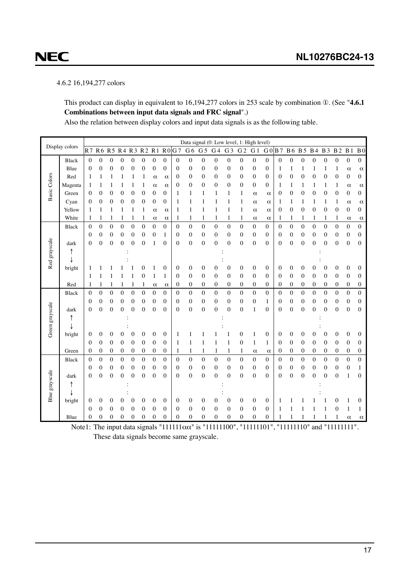### 4.6.2 16,194,277 colors

<span id="page-16-0"></span>**NEC** 

This product can display in equivalent to 16,194,277 colors in 253 scale by combination ①. (See "**4.6.1 Combinations between input data signals and FRC signal**".)

Also the relation between display colors and input data signals is as the following table.

|                     |                |                |                  |                  |                              |                  |                              |                  |                          |                  | Data signal (0: Low level, 1: High level) |                              |                  |                          |                  |                  |                  |                |                  |                  |                              |                  |                  |                  |                  |
|---------------------|----------------|----------------|------------------|------------------|------------------------------|------------------|------------------------------|------------------|--------------------------|------------------|-------------------------------------------|------------------------------|------------------|--------------------------|------------------|------------------|------------------|----------------|------------------|------------------|------------------------------|------------------|------------------|------------------|------------------|
|                     | Display colors | R <sub>7</sub> | R6 R5            |                  | R <sub>4</sub>               | R <sub>3</sub>   | R <sub>2</sub>               | R <sub>1</sub>   | R <sub>0</sub>           | G <sub>7</sub>   | G <sub>6</sub>                            | G <sub>5</sub>               | G <sub>4</sub>   | G <sub>3</sub>           | ${\bf G}\,2$     | G <sub>1</sub>   | G <sub>0</sub>   | <b>B</b> 7     | <b>B6</b>        | B <sub>5</sub>   | <b>B4</b>                    | <b>B</b> 3       | $\mathbf{B}\,2$  | $\, {\bf B}$ 1   | B <sub>0</sub>   |
|                     | <b>Black</b>   | $\theta$       | $\overline{0}$   | $\boldsymbol{0}$ | 0                            | $\mathbf{0}$     | $\mathbf{0}$                 | 0                | $\boldsymbol{0}$         | $\overline{0}$   | $\mathbf{0}$                              | $\boldsymbol{0}$             | $\boldsymbol{0}$ | $\mathbf{0}$             | $\boldsymbol{0}$ | $\boldsymbol{0}$ | $\boldsymbol{0}$ | 0              | $\boldsymbol{0}$ | $\boldsymbol{0}$ | $\boldsymbol{0}$             | $\boldsymbol{0}$ | $\boldsymbol{0}$ | $\boldsymbol{0}$ | $\boldsymbol{0}$ |
|                     | Blue           | 0              | 0                | 0                | 0                            | $\boldsymbol{0}$ | 0                            | 0                | 0                        | $\mathbf{0}$     | $\boldsymbol{0}$                          | 0                            | $\boldsymbol{0}$ | 0                        | 0                | 0                | 0                | 1              | 1                | 1                |                              | 1                | 1                | $\alpha$         | $\alpha$         |
|                     | Red            | 1              |                  |                  |                              | 1                |                              | $\alpha$         | $\alpha$                 | $\mathbf{0}$     | $\boldsymbol{0}$                          | 0                            | $\boldsymbol{0}$ | $\mathbf{0}$             | $\boldsymbol{0}$ | $\mathbf{0}$     | $\boldsymbol{0}$ | 0              | $\boldsymbol{0}$ | $\mathbf{0}$     | $\boldsymbol{0}$             | $\boldsymbol{0}$ | $\boldsymbol{0}$ | 0                | $\boldsymbol{0}$ |
| <b>Basic Colors</b> | Magenta        | 1              | 1                |                  | 1                            | 1                | 1                            | $\alpha$         | $\alpha$                 | $\boldsymbol{0}$ | $\boldsymbol{0}$                          | 0                            | $\boldsymbol{0}$ | $\boldsymbol{0}$         | $\boldsymbol{0}$ | 0                | $\boldsymbol{0}$ | 1              | 1                | 1                | 1                            | 1                | 1                | $\alpha$         | $\alpha$         |
|                     | Green          | 0              | 0                | 0                | $\boldsymbol{0}$             | $\mathbf{0}$     | $\mathbf{0}$                 | 0                | $\mathbf{0}$             | 1                | 1                                         | 1                            | 1                | 1                        | 1                | $\alpha$         | $\alpha$         | 0              | 0                | 0                | $\boldsymbol{0}$             | 0                | $\mathbf{0}$     | $\mathbf{0}$     | $\overline{0}$   |
|                     | Cyan           | $\theta$       | $\overline{0}$   | 0                | $\mathbf{0}$                 | $\mathbf{0}$     | $\mathbf{0}$                 | 0                | $\overline{0}$           | 1                | $\mathbf{1}$                              | $\mathbf{1}$                 | 1                | $\mathbf{1}$             | $\mathbf{1}$     | $\alpha$         | $\alpha$         | 1              | 1                | 1                | 1                            | 1                | 1                | $\alpha$         | $\alpha$         |
|                     | Yellow         | 1              |                  | 1                | 1                            | 1                | 1                            | $\alpha$         | $\alpha$                 | 1                | $\mathbf{1}$                              | 1                            | 1                | $\mathbf{1}$             | 1                | $\alpha$         | $\alpha$         | 0              | $\overline{0}$   | $\mathbf{0}$     | $\mathbf{0}$                 | $\mathbf{0}$     | $\boldsymbol{0}$ | $\boldsymbol{0}$ | $\boldsymbol{0}$ |
|                     | White          | 1              | 1                | 1                | 1                            | 1                | 1                            | $\alpha$         | $\alpha$                 | 1                | 1                                         | 1                            | 1                | 1                        | 1                | α                | $\alpha$         | 1              | 1                | 1                | 1                            | 1                | 1                | $\alpha$         | $\alpha$         |
|                     | Black          | $\overline{0}$ | $\boldsymbol{0}$ | $\overline{0}$   | $\boldsymbol{0}$             | $\boldsymbol{0}$ | $\boldsymbol{0}$             | $\overline{0}$   | $\boldsymbol{0}$         | $\overline{0}$   | $\boldsymbol{0}$                          | $\overline{0}$               | $\mathbf{0}$     | $\overline{0}$           | $\overline{0}$   | $\overline{0}$   | $\mathbf{0}$     | $\overline{0}$ | $\boldsymbol{0}$ | $\boldsymbol{0}$ | $\boldsymbol{0}$             | $\boldsymbol{0}$ | $\boldsymbol{0}$ | $\boldsymbol{0}$ | $\boldsymbol{0}$ |
|                     |                | 0              | 0                | 0                | $\boldsymbol{0}$             | $\boldsymbol{0}$ | $\boldsymbol{0}$             | 0                | 1                        | $\boldsymbol{0}$ | $\boldsymbol{0}$                          | $\boldsymbol{0}$             | $\boldsymbol{0}$ | $\boldsymbol{0}$         | $\boldsymbol{0}$ | 0                | $\boldsymbol{0}$ | 0              | 0                | $\boldsymbol{0}$ | $\boldsymbol{0}$             | $\boldsymbol{0}$ | $\boldsymbol{0}$ | $\boldsymbol{0}$ | 0                |
|                     | dark           | $\theta$       | 0                | 0                | $\mathbf{0}$                 | $\boldsymbol{0}$ | $\mathbf{0}$                 | 1                | $\mathbf{0}$             | $\theta$         | $\overline{0}$                            | 0                            | $\mathbf{0}$     | $\mathbf 0$              | $\boldsymbol{0}$ | 0                | $\mathbf{0}$     | 0              | 0                | $\overline{0}$   | $\mathbf{0}$                 | $\theta$         | $\mathbf{0}$     | $\boldsymbol{0}$ | 0                |
|                     |                |                |                  |                  |                              |                  |                              |                  |                          |                  |                                           |                              |                  |                          |                  |                  |                  |                |                  |                  |                              |                  |                  |                  |                  |
| Red grayscale       |                |                |                  |                  |                              |                  |                              |                  |                          |                  |                                           |                              |                  |                          |                  |                  |                  |                |                  |                  |                              |                  |                  |                  |                  |
|                     | bright         | 1              |                  |                  |                              |                  | 0                            |                  | $\boldsymbol{0}$         | $\mathbf{0}$     | $\boldsymbol{0}$                          | 0                            | $\boldsymbol{0}$ | 0                        | $\boldsymbol{0}$ | 0                | $\boldsymbol{0}$ | 0              | 0                | $\boldsymbol{0}$ | 0                            | $\boldsymbol{0}$ | $\boldsymbol{0}$ | $\boldsymbol{0}$ | 0                |
|                     |                | 1              |                  |                  |                              | 1                | $\boldsymbol{0}$             | 1                | 1                        | $\mathbf{0}$     | $\boldsymbol{0}$                          | $\mathbf{0}$                 | $\boldsymbol{0}$ | 0                        | $\boldsymbol{0}$ | $\mathbf{0}$     | $\mathbf{0}$     | 0              | 0                | $\boldsymbol{0}$ | $\boldsymbol{0}$             | $\mathbf{0}$     | $\boldsymbol{0}$ | 0                | 0                |
|                     | Red            | 1              |                  |                  | 1                            | $\mathbf{1}$     | 1                            | $\alpha$         | $\alpha$                 | 0                | $\boldsymbol{0}$                          | 0                            | $\boldsymbol{0}$ | 0                        | 0                | 0                | 0                | 0              | 0                | $\boldsymbol{0}$ | $\boldsymbol{0}$             | $\boldsymbol{0}$ | 0                | 0                | 0                |
|                     | Black          | $\mathbf{0}$   | $\mathbf{0}$     | $\overline{0}$   | $\mathbf{0}$                 | $\mathbf{0}$     | $\mathbf{0}$                 | $\overline{0}$   | $\mathbf{0}$             | $\overline{0}$   | $\boldsymbol{0}$                          | $\mathbf{0}$                 | $\boldsymbol{0}$ | $\overline{0}$           | $\boldsymbol{0}$ | $\theta$         | $\mathbf{0}$     | $\overline{0}$ | $\overline{0}$   | $\mathbf{0}$     | $\mathbf{0}$                 | $\mathbf{0}$     | $\overline{0}$   | $\boldsymbol{0}$ | $\boldsymbol{0}$ |
|                     |                | 0              | 0                | $\boldsymbol{0}$ | $\boldsymbol{0}$<br>$\theta$ | $\boldsymbol{0}$ | $\boldsymbol{0}$<br>$\theta$ | 0                | $\mathbf{0}$<br>$\theta$ | $\mathbf{0}$     | $\boldsymbol{0}$                          | $\boldsymbol{0}$<br>$\theta$ | $\boldsymbol{0}$ | $\mathbf{0}$<br>$\theta$ | $\boldsymbol{0}$ | 0                | 1                | 0              | 0                | $\boldsymbol{0}$ | $\boldsymbol{0}$<br>$\theta$ | $\boldsymbol{0}$ | $\boldsymbol{0}$ | 0                | 0                |
|                     | dark           | $\theta$       | $\overline{0}$   | $\theta$         |                              | $\overline{0}$   |                              | $\theta$         |                          | $\theta$         | $\overline{0}$                            |                              | $\mathbf{0}$     |                          | $\overline{0}$   | 1                | $\overline{0}$   | $\theta$       | $\overline{0}$   | $\mathbf{0}$     |                              | $\theta$         | $\mathbf{0}$     | $\overline{0}$   | $\overline{0}$   |
|                     |                |                |                  |                  |                              |                  |                              |                  |                          |                  |                                           |                              |                  |                          |                  |                  |                  |                |                  |                  |                              |                  |                  |                  |                  |
| Green grayscale     | bright         | 0              | 0                | 0                | 0                            | 0                | 0                            | 0                | $\boldsymbol{0}$         | 1                | 1                                         |                              |                  | 1                        | 0                | 1                | $\boldsymbol{0}$ | 0              | 0                | 0                | 0                            | 0                | $\boldsymbol{0}$ | 0                | 0                |
|                     |                | $\mathbf{0}$   | $\boldsymbol{0}$ | $\mathbf{0}$     | $\boldsymbol{0}$             | $\boldsymbol{0}$ | $\mathbf{0}$                 | $\boldsymbol{0}$ | $\overline{0}$           | 1                | 1                                         | 1                            | 1                | $\mathbf{1}$             | $\boldsymbol{0}$ | 1                | 1                | 0              | 0                | $\mathbf{0}$     | $\boldsymbol{0}$             | $\boldsymbol{0}$ | $\boldsymbol{0}$ | $\boldsymbol{0}$ | 0                |
|                     | Green          | 0              | 0                | 0                | 0                            | $\boldsymbol{0}$ | $\boldsymbol{0}$             | 0                | $\boldsymbol{0}$         | 1                | 1                                         | 1                            | 1                | $\mathbf{1}$             | 1                | α                | $\alpha$         | 0              | 0                | 0                | $\boldsymbol{0}$             | $\boldsymbol{0}$ | $\boldsymbol{0}$ | 0                | 0                |
|                     | <b>Black</b>   | $\mathbf{0}$   | 0                | $\boldsymbol{0}$ | $\mathbf{0}$                 | $\overline{0}$   | $\mathbf{0}$                 | $\boldsymbol{0}$ | $\overline{0}$           | $\overline{0}$   | $\boldsymbol{0}$                          | $\mathbf{0}$                 | $\boldsymbol{0}$ | $\overline{0}$           | $\overline{0}$   | $\overline{0}$   | $\mathbf{0}$     | $\overline{0}$ | $\overline{0}$   | $\mathbf{0}$     | $\mathbf{0}$                 | $\mathbf{0}$     | $\mathbf{0}$     | $\overline{0}$   | $\overline{0}$   |
|                     |                | $\mathbf{0}$   | 0                | $\boldsymbol{0}$ | $\boldsymbol{0}$             | $\boldsymbol{0}$ | $\boldsymbol{0}$             | 0                | $\boldsymbol{0}$         | $\mathbf{0}$     | $\boldsymbol{0}$                          | 0                            | $\boldsymbol{0}$ | $\mathbf{0}$             | $\boldsymbol{0}$ | $\boldsymbol{0}$ | 0                | 0              | 0                | $\boldsymbol{0}$ | $\boldsymbol{0}$             | $\boldsymbol{0}$ | $\boldsymbol{0}$ | 0                | 1                |
|                     | dark           | $\theta$       | $\overline{0}$   | 0                | $\mathbf{0}$                 | $\boldsymbol{0}$ | $\overline{0}$               | 0                | $\overline{0}$           | $\theta$         | $\overline{0}$                            | $\mathbf{0}$                 | $\mathbf{0}$     | $\overline{0}$           | $\boldsymbol{0}$ | $\theta$         | $\mathbf{0}$     | $\theta$       | $\overline{0}$   | $\mathbf{0}$     | $\mathbf{0}$                 | $\mathbf{0}$     | $\boldsymbol{0}$ | 1                | $\overline{0}$   |
| Blue grayscale      |                |                |                  |                  |                              |                  |                              |                  |                          |                  |                                           |                              |                  |                          |                  |                  |                  |                |                  |                  |                              |                  |                  |                  |                  |
|                     |                |                |                  |                  |                              |                  |                              |                  |                          |                  |                                           |                              |                  |                          |                  |                  |                  |                |                  |                  |                              |                  |                  |                  |                  |
|                     | bright         | 0              | 0                | 0                | 0                            | 0                | 0                            | 0                | 0                        | 0                | $\boldsymbol{0}$                          | 0                            | 0                | 0                        | $\boldsymbol{0}$ | 0                | 0                | 1              |                  |                  |                              |                  | 0                | 1                | 0                |
|                     |                | 0              | 0                | $\mathbf{0}$     | $\mathbf{0}$                 | $\boldsymbol{0}$ | $\mathbf{0}$                 | 0                | $\overline{0}$           | $\mathbf{0}$     | $\boldsymbol{0}$                          | $\mathbf{0}$                 | $\boldsymbol{0}$ | 0                        | $\boldsymbol{0}$ | $\overline{0}$   | 0                | 1              |                  |                  |                              |                  | $\boldsymbol{0}$ | 1                | 1                |
|                     | Blue           | 0              | 0                | $\mathbf{0}$     | $\overline{0}$               | $\mathbf{0}$     | $\overline{0}$               | 0                | $\overline{0}$           | $\mathbf{0}$     | $\overline{0}$                            | 0                            | $\overline{0}$   | $\overline{0}$           | $\boldsymbol{0}$ | $\overline{0}$   | $\overline{0}$   |                |                  | 1                |                              |                  | 1                | $\alpha$         | $\alpha$         |

Note1: The input data signals "111111αα" is "11111100", "11111101", "11111110" and "11111111". These data signals become same grayscale.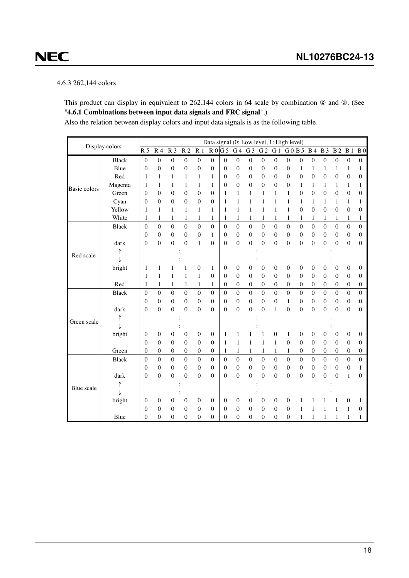### 4.6.3 262,144 colors

<span id="page-17-0"></span>**NEC** 

This product can display in equivalent to 262,144 colors in 64 scale by combination ② and ③. (See "**4.6.1 Combinations between input data signals and FRC signal**".)

Also the relation between display colors and input data signals is as the following table.

|              | Display colors |                                |                     |                                      |                  |                     |                                      |                                |                                      |                       | Data signal (0: Low level, 1: High level) |                  |                  |                  |                  |                  |                |                  |                   |
|--------------|----------------|--------------------------------|---------------------|--------------------------------------|------------------|---------------------|--------------------------------------|--------------------------------|--------------------------------------|-----------------------|-------------------------------------------|------------------|------------------|------------------|------------------|------------------|----------------|------------------|-------------------|
|              |                | R <sub>5</sub>                 | R <sub>4</sub>      | R <sub>3</sub>                       | R <sub>2</sub>   | R <sub>1</sub>      |                                      | R0G5                           | G <sub>4</sub>                       | G <sub>3</sub>        | G <sub>2</sub>                            | G <sub>1</sub>   |                  | G0B5             | <b>B</b> 4       | <b>B</b> 3       | B <sub>2</sub> | B <sub>1</sub>   | B <sub>0</sub>    |
|              | <b>Black</b>   | $\mathbf{0}$                   | $\overline{0}$      | $\boldsymbol{0}$                     | $\boldsymbol{0}$ | $\mathbf{0}$        | $\boldsymbol{0}$                     | $\mathbf{0}$                   | $\boldsymbol{0}$                     | $\boldsymbol{0}$      | $\mathbf{0}$                              | 0                | $\boldsymbol{0}$ | $\mathbf{0}$     | $\boldsymbol{0}$ | $\boldsymbol{0}$ | 0              | $\boldsymbol{0}$ | $\mathbf{0}$      |
|              | Blue           | $\boldsymbol{0}$               | $\boldsymbol{0}$    | $\boldsymbol{0}$                     | 0                | 0                   | $\boldsymbol{0}$                     | $\boldsymbol{0}$               | $\boldsymbol{0}$                     | $\boldsymbol{0}$      | 0                                         | $\boldsymbol{0}$ | $\boldsymbol{0}$ | $\mathbf{1}$     | 1                | 1                | 1              | 1                | 1                 |
|              | Red            | 1                              | 1                   | $\mathbf{1}$                         | $\mathbf{1}$     | 1                   | $\mathbf{1}$                         | $\overline{0}$                 | $\mathbf{0}$                         | $\boldsymbol{0}$      | $\mathbf{0}$                              | $\boldsymbol{0}$ | $\mathbf{0}$     | $\mathbf{0}$     | $\overline{0}$   | $\mathbf{0}$     | $\overline{0}$ | $\overline{0}$   | $\mathbf{0}$      |
|              | Magenta        | 1                              | 1                   | 1                                    | 1                | 1                   | $\mathbf{1}$                         | $\theta$                       | $\mathbf{0}$                         | $\boldsymbol{0}$      | $\mathbf{0}$                              | $\mathbf{0}$     | $\mathbf{0}$     | 1                | 1                | 1                | 1              | 1                | 1                 |
| Basic colors | Green          | $\mathbf{0}$                   | $\overline{0}$      | $\boldsymbol{0}$                     | $\boldsymbol{0}$ | $\overline{0}$      | $\mathbf{0}$                         | 1                              | $\mathbf{1}$                         | 1                     | 1                                         | $\mathbf{1}$     | 1                | $\boldsymbol{0}$ | $\boldsymbol{0}$ | $\boldsymbol{0}$ | 0              | $\overline{0}$   | $\mathbf{0}$      |
|              | Cyan           | $\theta$                       | $\theta$            | $\mathbf{0}$                         | $\theta$         | 0                   | $\overline{0}$                       | 1                              | $\mathbf{1}$                         | 1                     | 1                                         | 1                | 1                | 1                | 1                | 1                | 1              | 1                | 1                 |
|              | Yellow         | 1                              | 1                   | 1                                    | $\mathbf{1}$     | 1                   | 1                                    | 1                              | $\mathbf{1}$                         | $\mathbf{1}$          | 1                                         | $\mathbf{1}$     | 1                | 0                | $\boldsymbol{0}$ | $\boldsymbol{0}$ | $\mathbf{0}$   | $\mathbf{0}$     | $\mathbf{0}$      |
|              | White          | 1                              | 1                   | 1                                    | 1                | 1                   | 1                                    | 1                              | 1                                    | 1                     | 1                                         | 1                | 1                | 1                | 1                | 1                | 1              | 1                | 1                 |
|              | <b>Black</b>   | $\mathbf{0}$                   | $\overline{0}$      | $\mathbf{0}$                         | $\mathbf{0}$     | $\mathbf{0}$        | $\boldsymbol{0}$                     | $\mathbf{0}$                   | $\overline{0}$                       | $\mathbf{0}$          | $\boldsymbol{0}$                          | $\overline{0}$   | $\boldsymbol{0}$ | $\boldsymbol{0}$ | $\mathbf{0}$     | $\overline{0}$   | $\overline{0}$ | $\mathbf{0}$     | $\boldsymbol{0}$  |
|              |                | $\mathbf{0}$                   | $\overline{0}$      | $\boldsymbol{0}$                     | $\boldsymbol{0}$ | $\boldsymbol{0}$    | $\mathbf{1}$                         | $\boldsymbol{0}$               | $\boldsymbol{0}$                     | $\boldsymbol{0}$      | $\boldsymbol{0}$                          | $\boldsymbol{0}$ | $\mathbf{0}$     | $\boldsymbol{0}$ | $\boldsymbol{0}$ | $\boldsymbol{0}$ | $\mathbf{0}$   | $\boldsymbol{0}$ | $\boldsymbol{0}$  |
|              | dark           | $\mathbf{0}$                   | $\overline{0}$      | $\mathbf{0}$                         | $\overline{0}$   | 1                   | $\overline{0}$                       | $\theta$                       | $\boldsymbol{0}$                     | $\mathbf{0}$          | $\overline{0}$                            | $\mathbf{0}$     | $\theta$         | $\mathbf{0}$     | $\mathbf{0}$     | $\overline{0}$   | $\overline{0}$ | $\mathbf{0}$     | $\mathbf{0}$      |
| Red scale    |                |                                |                     |                                      |                  |                     |                                      |                                |                                      |                       |                                           |                  |                  |                  |                  |                  |                |                  |                   |
|              |                |                                |                     |                                      |                  |                     |                                      |                                |                                      |                       |                                           |                  |                  |                  |                  |                  |                |                  |                   |
|              | bright         | 1                              | 1                   | 1                                    | 1                | 0                   | $\,1$                                | $\boldsymbol{0}$               | $\boldsymbol{0}$                     | 0                     | $\boldsymbol{0}$                          | $\boldsymbol{0}$ | $\boldsymbol{0}$ | $\boldsymbol{0}$ | $\boldsymbol{0}$ | $\boldsymbol{0}$ | 0              | $\boldsymbol{0}$ | $\mathbf{0}$      |
|              |                | 1                              | 1                   | $\mathbf{1}$                         | $\mathbf{1}$     | $\mathbf{1}$        | $\mathbf{0}$                         | $\mathbf{0}$                   | $\mathbf{0}$                         | $\boldsymbol{0}$      | $\overline{0}$                            | $\mathbf{0}$     | $\mathbf{0}$     | $\mathbf{0}$     | $\mathbf{0}$     | $\overline{0}$   | $\overline{0}$ | $\mathbf{0}$     | $\mathbf{0}$      |
|              | Red            | 1                              | 1                   | 1                                    | $\mathbf{1}$     | 1                   | $\mathbf{1}$                         | $\mathbf{0}$                   | $\boldsymbol{0}$                     | $\mathbf{0}$          | $\overline{0}$                            | $\mathbf{0}$     | $\mathbf{0}$     | $\mathbf{0}$     | $\overline{0}$   | $\boldsymbol{0}$ | 0              | $\overline{0}$   | $\mathbf{0}$      |
|              | <b>Black</b>   | $\mathbf{0}$                   | $\boldsymbol{0}$    | $\boldsymbol{0}$                     | $\boldsymbol{0}$ | $\boldsymbol{0}$    | $\boldsymbol{0}$                     | $\mathbf{0}$                   | $\boldsymbol{0}$                     | $\boldsymbol{0}$      | $\boldsymbol{0}$                          | $\boldsymbol{0}$ | $\boldsymbol{0}$ | $\boldsymbol{0}$ | $\boldsymbol{0}$ | $\boldsymbol{0}$ | $\theta$       | $\boldsymbol{0}$ | $\boldsymbol{0}$  |
|              |                | $\mathbf{0}$                   | $\theta$            | $\mathbf{0}$                         | 0                | $\mathbf{0}$        | 0                                    | $\theta$                       | $\boldsymbol{0}$                     | $\mathbf{0}$          | $\theta$                                  | $\mathbf{0}$     | 1                | $\mathbf{0}$     | $\mathbf{0}$     | $\mathbf{0}$     | 0              | $\mathbf{0}$     | $\Omega$          |
|              | dark           | $\mathbf{0}$                   | $\overline{0}$      | $\boldsymbol{0}$                     | $\boldsymbol{0}$ | $\boldsymbol{0}$    | $\boldsymbol{0}$                     | $\mathbf{0}$                   | $\mathbf{0}$                         | $\boldsymbol{0}$      | $\overline{0}$                            | $\,1$            | $\mathbf{0}$     | $\boldsymbol{0}$ | $\mathbf 0$      | $\boldsymbol{0}$ | $\mathbf{0}$   | $\boldsymbol{0}$ | $\mathbf{0}$      |
| Green scale  |                |                                |                     |                                      |                  |                     |                                      |                                |                                      |                       |                                           |                  |                  |                  |                  |                  |                |                  |                   |
|              |                |                                |                     |                                      |                  |                     |                                      |                                |                                      |                       |                                           |                  |                  |                  |                  |                  |                |                  |                   |
|              | bright         | $\boldsymbol{0}$               | $\boldsymbol{0}$    | $\boldsymbol{0}$                     | $\boldsymbol{0}$ | $\boldsymbol{0}$    | $\boldsymbol{0}$                     | 1                              | 1                                    |                       | 1                                         | $\boldsymbol{0}$ | 1                | $\boldsymbol{0}$ | $\boldsymbol{0}$ | $\boldsymbol{0}$ | 0              | $\boldsymbol{0}$ | $\boldsymbol{0}$  |
|              |                | $\Omega$                       | $\overline{0}$      | $\theta$                             | $\overline{0}$   | $\mathbf{0}$        | $\mathbf{0}$                         | 1                              | 1                                    | 1                     | 1                                         | 1                | $\theta$         | $\mathbf{0}$     | $\mathbf{0}$     | $\overline{0}$   | $\overline{0}$ | $\mathbf{0}$     | $\mathbf{0}$      |
|              | Green          | $\mathbf{0}$                   | $\boldsymbol{0}$    | $\boldsymbol{0}$                     | 0                | $\boldsymbol{0}$    | 0                                    | $\mathbf{1}$                   | $\mathbf{1}$                         | 1                     | 1                                         | $\mathbf{1}$     | 1                | $\boldsymbol{0}$ | $\boldsymbol{0}$ | $\boldsymbol{0}$ | 0              | $\boldsymbol{0}$ | $\boldsymbol{0}$  |
|              | <b>Black</b>   | $\mathbf{0}$                   | $\theta$            | $\boldsymbol{0}$                     | $\boldsymbol{0}$ | $\boldsymbol{0}$    | $\mathbf{0}$                         | $\mathbf{0}$                   | $\mathbf{0}$                         | $\mathbf{0}$          | $\boldsymbol{0}$                          | $\boldsymbol{0}$ | $\theta$         | $\boldsymbol{0}$ | $\boldsymbol{0}$ | $\boldsymbol{0}$ | $\theta$       | $\boldsymbol{0}$ | $\boldsymbol{0}$  |
|              |                | $\mathbf{0}$                   | $\boldsymbol{0}$    | $\boldsymbol{0}$                     | $\boldsymbol{0}$ | $\mathbf{0}$        | $\mathbf{0}$                         | $\mathbf{0}$                   | $\boldsymbol{0}$                     | $\boldsymbol{0}$      | $\overline{0}$                            | $\boldsymbol{0}$ | $\mathbf{0}$     | $\boldsymbol{0}$ | $\boldsymbol{0}$ | $\boldsymbol{0}$ | $\mathbf{0}$   | $\boldsymbol{0}$ | 1                 |
|              | dark           | $\mathbf{0}$                   | $\theta$            | $\mathbf{0}$                         | $\overline{0}$   | $\overline{0}$      | $\mathbf{0}$                         | $\theta$                       | $\mathbf{0}$                         | $\overline{0}$        | $\theta$                                  | $\mathbf{0}$     | $\Omega$         | $\mathbf{0}$     | $\mathbf{0}$     | $\overline{0}$   | $\overline{0}$ | $\mathbf{1}$     | $\mathbf{0}$      |
| Blue scale   |                |                                |                     |                                      |                  |                     |                                      |                                |                                      |                       |                                           |                  |                  |                  |                  |                  |                |                  |                   |
|              |                |                                |                     |                                      |                  |                     |                                      |                                |                                      |                       |                                           | $\mathbf{0}$     | $\mathbf{0}$     |                  |                  |                  |                |                  |                   |
|              | bright         | $\overline{0}$<br>$\mathbf{0}$ | 0<br>$\overline{0}$ | $\boldsymbol{0}$<br>$\boldsymbol{0}$ | 0<br>0           | 0<br>$\overline{0}$ | $\boldsymbol{0}$<br>$\boldsymbol{0}$ | $\mathbf{0}$<br>$\overline{0}$ | $\boldsymbol{0}$<br>$\boldsymbol{0}$ | 0<br>$\boldsymbol{0}$ | $\overline{0}$<br>$\overline{0}$          | $\boldsymbol{0}$ | $\mathbf{0}$     | 1<br>1           | 1<br>1           | 1                | 1              | 0<br>1           | 1<br>$\mathbf{0}$ |
|              | Blue           | $\boldsymbol{0}$               | $\overline{0}$      | $\theta$                             | $\boldsymbol{0}$ | $\mathbf{0}$        | $\mathbf{0}$                         | $\overline{0}$                 | $\mathbf{0}$                         | $\mathbf{0}$          | $\boldsymbol{0}$                          | $\mathbf{0}$     | $\boldsymbol{0}$ | 1                | 1                | 1                | 1              | 1                | 1                 |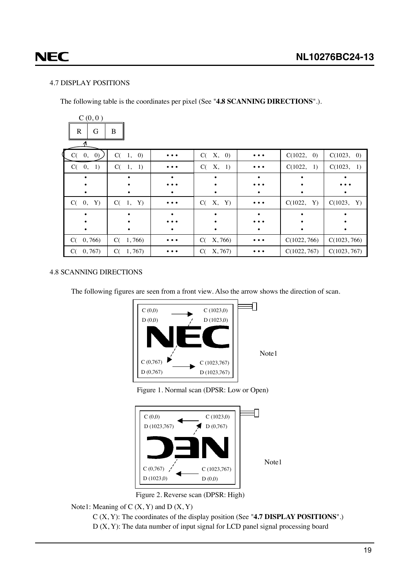# <span id="page-18-0"></span>**NEC**

### 4.7 DISPLAY POSITIONS

The following table is the coordinates per pixel (See "**4.8 SCANNING DIRECTIONS**".).

| C(0,0)<br>$\mathbb{R}$<br>G | $\bf{B}$      |                                                                             |               |          |               |              |
|-----------------------------|---------------|-----------------------------------------------------------------------------|---------------|----------|---------------|--------------|
| C(0, 0)                     | C(1, 0)       | $\bullet\hspace{0.1cm} \bullet\hspace{0.1cm} \bullet\hspace{0.1cm} \bullet$ | X, 0)<br>C(   | $\cdots$ | C(1022, 0)    | C(1023, 0)   |
| C(0, 1)                     | $C(-1,$<br>1) | $\bullet\hspace{0.1cm} \bullet\hspace{0.1cm} \bullet\hspace{0.1cm} \bullet$ | X, 1)<br>C(   | $\cdots$ | C(1022,<br>1) | C(1023, 1)   |
|                             |               |                                                                             |               |          |               |              |
|                             |               |                                                                             |               |          |               |              |
|                             |               |                                                                             | ٠             |          |               |              |
| $C(-0,$<br>Y)               | C(1, Y)       | $\bullet\bullet\bullet$                                                     | X, Y)<br>C(   | $\cdots$ | C(1022,<br>Y) | C(1023, Y)   |
|                             |               |                                                                             |               |          |               |              |
|                             |               |                                                                             |               |          |               |              |
|                             |               |                                                                             |               |          | ٠             |              |
| 0,766<br>C(                 | C(1, 766)     | $\bullet\bullet\bullet$                                                     | X, 766)<br>C( | $\cdots$ | C(1022, 766)  | C(1023, 766) |
| 0,767<br>C(                 | 1,767<br>C(   |                                                                             | X, 767<br>C(  |          | C(1022, 767)  | C(1023, 767) |

### 4.8 SCANNING DIRECTIONS

The following figures are seen from a front view. Also the arrow shows the direction of scan.



Figure 1. Normal scan (DPSR: Low or Open)

Note1



Figure 2. Reverse scan (DPSR: High)

Note1: Meaning of  $C(X, Y)$  and  $D(X, Y)$ 

C (X, Y): The coordinates of the display position (See "**4.7 DISPLAY POSITIONS**".)

 $D(X, Y)$ : The data number of input signal for LCD panel signal processing board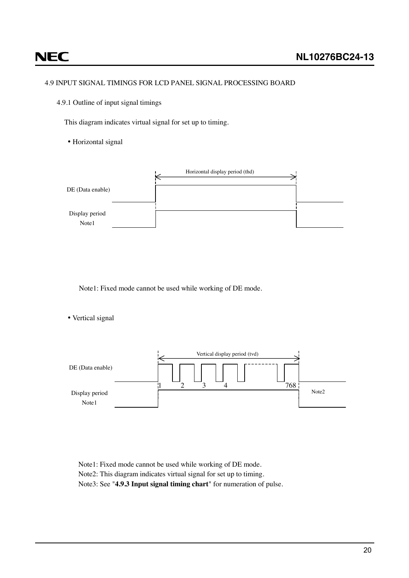## <span id="page-19-0"></span>**NEC**

### 4.9 INPUT SIGNAL TIMINGS FOR LCD PANEL SIGNAL PROCESSING BOARD

4.9.1 Outline of input signal timings

This diagram indicates virtual signal for set up to timing.

• Horizontal signal



Note1: Fixed mode cannot be used while working of DE mode.

• Vertical signal



Note1: Fixed mode cannot be used while working of DE mode. Note2: This diagram indicates virtual signal for set up to timing. Note3: See "**4.9.3 Input signal timing chart**" for numeration of pulse.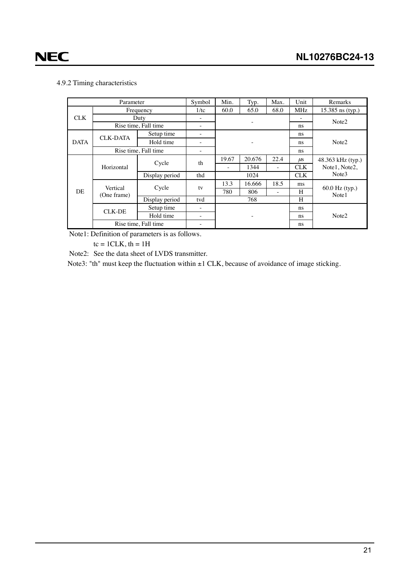### <span id="page-20-0"></span>4.9.2 Timing characteristics

| Parameter   |                      |                      | Symbol | Min.  | Typ.   | Max.                     | Unit              | Remarks                 |  |  |
|-------------|----------------------|----------------------|--------|-------|--------|--------------------------|-------------------|-------------------------|--|--|
|             |                      | Frequency            | 1/tc   | 60.0  | 65.0   | 68.0                     | <b>MHz</b>        | 15.385 ns (typ.)        |  |  |
| <b>CLK</b>  | Duty                 | ٠                    |        |       |        |                          | Note <sub>2</sub> |                         |  |  |
|             | Rise time, Fall time | ۰                    |        |       |        | ns                       |                   |                         |  |  |
| <b>DATA</b> | <b>CLK-DATA</b>      | Setup time           | -      |       |        |                          | ns                |                         |  |  |
|             |                      | Hold time            |        |       |        |                          | ns.               | Note <sub>2</sub>       |  |  |
|             | Rise time, Fall time | ۰                    |        |       |        | ns                       |                   |                         |  |  |
|             |                      | Cycle                | th     | 19.67 | 20.676 | 22.4                     | $\mu$ s           | 48.363 kHz (typ.)       |  |  |
|             | Horizontal           |                      |        | ٠     | 1344   | $\overline{\phantom{a}}$ | <b>CLK</b>        | Note1, Note2,           |  |  |
|             |                      | Display period       | thd    |       | 1024   |                          | <b>CLK</b>        | Note3                   |  |  |
|             | Vertical             | Cycle                | tv     | 13.3  | 16.666 | 18.5                     | ms                |                         |  |  |
| DE          | (One frame)          |                      |        | 780   | 806    | ٠                        | H                 | 60.0 Hz (typ.)<br>Note1 |  |  |
|             |                      | Display period       | tvd    |       | 768    |                          | H                 |                         |  |  |
|             | <b>CLK-DE</b>        | Setup time           | ۰      |       |        |                          | ns                | Note <sub>2</sub>       |  |  |
|             |                      | Hold time            | ۰      |       | ٠      |                          | ns                |                         |  |  |
|             |                      | Rise time, Fall time | -      |       |        |                          | ns                |                         |  |  |

Note1: Definition of parameters is as follows.

 $tc = 1CLK, th = 1H$ 

Note2: See the data sheet of LVDS transmitter.

Note3: "th" must keep the fluctuation within  $\pm 1$  CLK, because of avoidance of image sticking.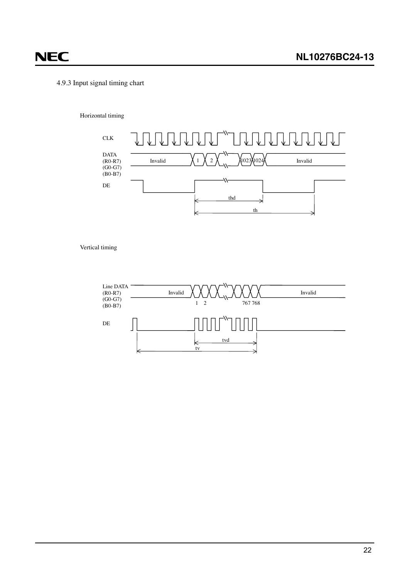# 4.9.3 Input signal timing chart

<span id="page-21-0"></span>**NEC** 

#### Horizontal timing



Vertical timing

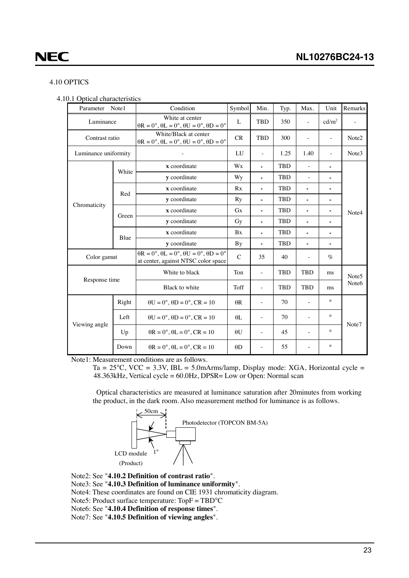### <span id="page-22-0"></span>4.10 OPTICS

| 4.10.1 Optical characteristics |  |
|--------------------------------|--|
|--------------------------------|--|

| Parameter            | Note1 | Condition                                                                                                                        | Symbol        | Min.                     | Typ.       | Max.                     | Unit                     | Remarks           |
|----------------------|-------|----------------------------------------------------------------------------------------------------------------------------------|---------------|--------------------------|------------|--------------------------|--------------------------|-------------------|
| Luminance            |       | White at center<br>$\theta$ R = 0°, $\theta$ L = 0°, $\theta$ U = 0°, $\theta$ D = 0°                                            | $\mathbf{L}$  | <b>TBD</b>               | 350        | ÷,                       | cd/m <sup>2</sup>        |                   |
| Contrast ratio       |       | White/Black at center<br>$\theta$ R = 0°, $\theta$ L = 0°, $\theta$ U = 0°, $\theta$ D = 0°                                      | CR            | <b>TBD</b>               | 300        | $\overline{\phantom{a}}$ | $\overline{\phantom{a}}$ | Note <sub>2</sub> |
| Luminance uniformity |       |                                                                                                                                  | LU            |                          | 1.25       | 1.40                     |                          | Note3             |
|                      |       | x coordinate                                                                                                                     | Wx            | $\blacksquare$           | <b>TBD</b> | ÷,                       |                          |                   |
|                      | White | <b>v</b> coordinate                                                                                                              | Wy            | $\blacksquare$           | <b>TBD</b> | $\bar{a}$                | ٠                        |                   |
|                      | Red   | x coordinate                                                                                                                     | Rx            | ä,                       | <b>TBD</b> | ٠                        |                          |                   |
|                      |       | y coordinate                                                                                                                     | Ry            |                          | <b>TBD</b> |                          |                          |                   |
| Chromaticity         | Green | x coordinate                                                                                                                     | <b>Gx</b>     | ۰                        | <b>TBD</b> |                          |                          | Note4             |
|                      |       | y coordinate                                                                                                                     | Gy            | $\blacksquare$           | <b>TBD</b> | ٠                        | ٠                        |                   |
|                      | Blue  | x coordinate                                                                                                                     | <b>Bx</b>     | ä,                       | <b>TBD</b> | ä,                       |                          |                   |
|                      |       | y coordinate                                                                                                                     | <b>By</b>     | ۰                        | <b>TBD</b> | ٠                        |                          |                   |
| Color gamut          |       | $\theta R = 0^\circ$ , $\theta L = 0^\circ$ , $\theta U = 0^\circ$ , $\theta D = 0^\circ$<br>at center, against NTSC color space | $\mathcal{C}$ | 35                       | 40         |                          | $\%$                     |                   |
| Response time        |       | White to black                                                                                                                   | Ton           | $\overline{\phantom{a}}$ | <b>TBD</b> | <b>TBD</b>               | ms                       | Note <sub>5</sub> |
|                      |       | Black to white                                                                                                                   | Toff          | ÷.                       | <b>TBD</b> | <b>TBD</b>               | ms                       | Note <sub>6</sub> |
|                      | Right | $\theta U = 0^\circ$ , $\theta D = 0^\circ$ , $CR = 10$                                                                          | $\theta$ R    | $\overline{\phantom{a}}$ | 70         | $\overline{\phantom{m}}$ | $\circ$                  |                   |
| Viewing angle        | Left  | $\theta U = 0^\circ$ , $\theta D = 0^\circ$ , $CR = 10$                                                                          | $\theta$ L    | $\overline{\phantom{a}}$ | 70         |                          | $\circ$                  | Note7             |
|                      | Up    | $\theta$ R = 0°, $\theta$ L = 0°, CR = 10                                                                                        | $\theta U$    | $\sim$                   | 45         | $\overline{a}$           | $\circ$                  |                   |
|                      | Down  | $\theta$ R = 0°, $\theta$ L = 0°, CR = 10                                                                                        | $\theta$ D    | ÷.                       | 55         |                          | $\circ$                  |                   |

Note1: Measurement conditions are as follows.

Ta =  $25^{\circ}$ C, VCC =  $3.3$ V, IBL =  $5.0$ mArms/lamp, Display mode: XGA, Horizontal cycle = 48.363kHz, Vertical cycle = 60.0Hz, DPSR= Low or Open: Normal scan

Optical characteristics are measured at luminance saturation after 20minutes from working the product, in the dark room. Also measurement method for luminance is as follows.



Note2: See "**4.10.2 Definition of contrast ratio**".

Note3: See "**4.10.3 Definition of luminance uniformity**".

Note4: These coordinates are found on CIE 1931 chromaticity diagram.

Note5: Product surface temperature: TopF = TBD°C

Note6: See "**4.10.4 Definition of response times**".

Note7: See "**4.10.5 Definition of viewing angles**".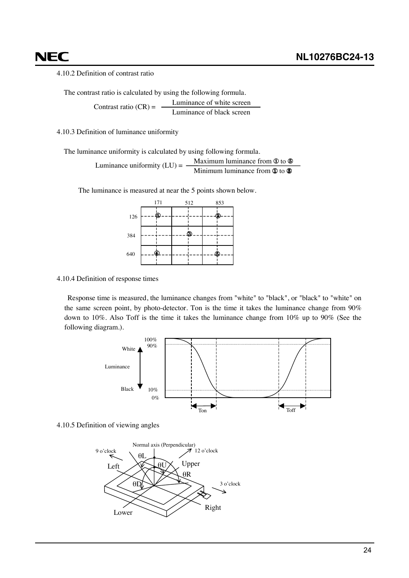<span id="page-23-0"></span>4.10.2 Definition of contrast ratio

The contrast ratio is calculated by using the following formula. Contrast ratio  $(CR) = \frac{\text{Luminance of white screen}}{\text{Luminance of 11}}$ Luminance of black screen

4.10.3 Definition of luminance uniformity

The luminance uniformity is calculated by using following formula.

Maximum luminance from  $\Phi$  to  $\Phi$ Minimum luminance from  $\Phi$  to  $\Phi$ Luminance uniformity  $(LU) = -$ 

The luminance is measured at near the 5 points shown below.



4.10.4 Definition of response times

Response time is measured, the luminance changes from "white" to "black", or "black" to "white" on the same screen point, by photo-detector. Ton is the time it takes the luminance change from 90% down to 10%. Also Toff is the time it takes the luminance change from 10% up to 90% (See the following diagram.).



4.10.5 Definition of viewing angles

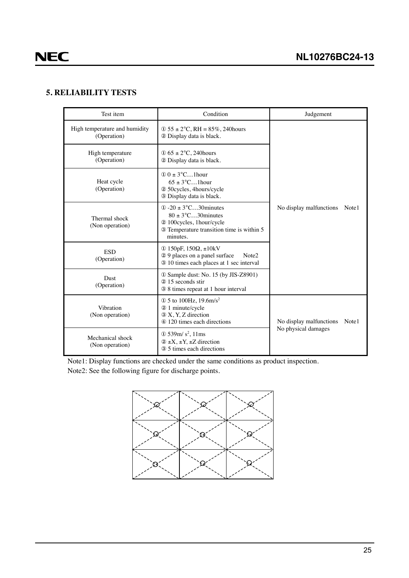### <span id="page-24-0"></span>**5. RELIABILITY TESTS**

| Test item                                    | Condition                                                                                                                                                        | Judgement                        |
|----------------------------------------------|------------------------------------------------------------------------------------------------------------------------------------------------------------------|----------------------------------|
| High temperature and humidity<br>(Operation) | $\Phi$ 55 ± 2°C, RH = 85%, 240 hours<br>2 Display data is black.                                                                                                 |                                  |
| High temperature<br>(Operation)              | $\Phi$ 65 ± 2°C, 240 hours<br>2 Display data is black.                                                                                                           |                                  |
| Heat cycle<br>(Operation)                    | $\textcircled{1}$ 0 $\pm$ 3°C1 hour<br>$65 \pm 3^{\circ}$ C1 hour<br>2 50 cycles, 4 hours/cycle<br>3 Display data is black.                                      |                                  |
| Thermal shock<br>(Non operation)             | $\textcircled{1}$ -20 $\pm$ 3°C30 minutes<br>$80 \pm 3^{\circ}$ C30 minutes<br>2 100cycles, 1hour/cycle<br>3 Temperature transition time is within 5<br>minutes. | No display malfunctions<br>Note1 |
| <b>ESD</b><br>(Operation)                    | ① 150pF, $150Ω$ , $±10kV$<br>29 places on a panel surface<br>Note <sub>2</sub><br>3 10 times each places at 1 sec interval                                       |                                  |
| Dust<br>(Operation)                          | 10 Sample dust: No. 15 (by JIS-Z8901)<br>20 15 seconds stir<br>3 8 times repeat at 1 hour interval                                                               |                                  |
| Vibration<br>(Non operation)                 | $\Phi$ 5 to 100Hz, 19.6m/s <sup>2</sup><br>2 1 minute/cycle<br>3 X, Y, Z direction<br>4 120 times each directions                                                | No display malfunctions<br>Note1 |
| Mechanical shock<br>(Non operation)          | $\Phi$ 539m/s <sup>2</sup> , 11ms<br>$(2 \pm X, \pm Y, \pm Z)$ direction<br>3 5 times each directions                                                            | No physical damages              |

Note1: Display functions are checked under the same conditions as product inspection. Note2: See the following figure for discharge points.

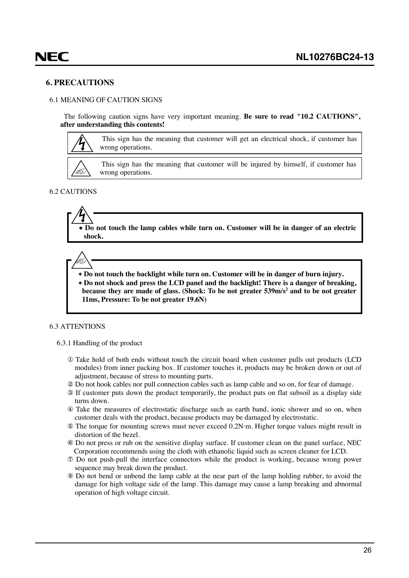### <span id="page-25-0"></span>**6. PRECAUTIONS**

#### 6.1 MEANING OF CAUTION SIGNS

The following caution signs have very important meaning. **Be sure to read "10.2 CAUTIONS", after understanding this contents!**



This sign has the meaning that customer will get an electrical shock, if customer has wrong operations.

This sign has the meaning that customer will be injured by himself, if customer has wrong operations.

### 6.2 CAUTIONS

∗ **Do not touch the lamp cables while turn on. Customer will be in danger of an electric shock.**



∗ **Do not touch the backlight while turn on. Customer will be in danger of burn injury.** ∗ **Do not shock and press the LCD panel and the backlight! There is a danger of breaking, because they are made of glass. (Shock: To be not greater 539m/s2 and to be not greater 11ms, Pressure: To be not greater 19.6N)**

#### 6.3 ATTENTIONS

#### 6.3.1 Handling of the product

- ① Take hold of both ends without touch the circuit board when customer pulls out products (LCD modules) from inner packing box. If customer touches it, products may be broken down or out of adjustment, because of stress to mounting parts.
- ② Do not hook cables nor pull connection cables such as lamp cable and so on, for fear of damage.
- ③ If customer puts down the product temporarily, the product puts on flat subsoil as a display side turns down.
- ④ Take the measures of electrostatic discharge such as earth band, ionic shower and so on, when customer deals with the product, because products may be damaged by electrostatic.
- ⑤ The torque for mounting screws must never exceed 0.2N⋅m. Higher torque values might result in distortion of the bezel.
- ⑥ Do not press or rub on the sensitive display surface. If customer clean on the panel surface, NEC Corporation recommends using the cloth with ethanolic liquid such as screen cleaner for LCD.
- ⑦ Do not push-pull the interface connectors while the product is working, because wrong power sequence may break down the product.
- ⑧ Do not bend or unbend the lamp cable at the near part of the lamp holding rubber, to avoid the damage for high voltage side of the lamp. This damage may cause a lamp breaking and abnormal operation of high voltage circuit.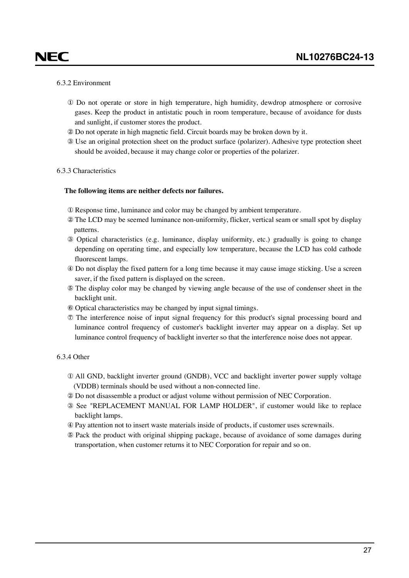### 6.3.2 Environment

<span id="page-26-0"></span>NEC

- ① Do not operate or store in high temperature, high humidity, dewdrop atmosphere or corrosive gases. Keep the product in antistatic pouch in room temperature, because of avoidance for dusts and sunlight, if customer stores the product.
- ② Do not operate in high magnetic field. Circuit boards may be broken down by it.
- ③ Use an original protection sheet on the product surface (polarizer). Adhesive type protection sheet should be avoided, because it may change color or properties of the polarizer.

#### 6.3.3 Characteristics

#### **The following items are neither defects nor failures.**

- ① Response time, luminance and color may be changed by ambient temperature.
- ② The LCD may be seemed luminance non-uniformity, flicker, vertical seam or small spot by display patterns.
- ③ Optical characteristics (e.g. luminance, display uniformity, etc.) gradually is going to change depending on operating time, and especially low temperature, because the LCD has cold cathode fluorescent lamps.
- ④ Do not display the fixed pattern for a long time because it may cause image sticking. Use a screen saver, if the fixed pattern is displayed on the screen.
- ⑤ The display color may be changed by viewing angle because of the use of condenser sheet in the backlight unit.
- ⑥ Optical characteristics may be changed by input signal timings.
- ⑦ The interference noise of input signal frequency for this product's signal processing board and luminance control frequency of customer's backlight inverter may appear on a display. Set up luminance control frequency of backlight inverter so that the interference noise does not appear.

### 6.3.4 Other

- ① All GND, backlight inverter ground (GNDB), VCC and backlight inverter power supply voltage (VDDB) terminals should be used without a non-connected line.
- ② Do not disassemble a product or adjust volume without permission of NEC Corporation.
- ③ See "REPLACEMENT MANUAL FOR LAMP HOLDER", if customer would like to replace backlight lamps.
- ④ Pay attention not to insert waste materials inside of products, if customer uses screwnails.
- ⑤ Pack the product with original shipping package, because of avoidance of some damages during transportation, when customer returns it to NEC Corporation for repair and so on.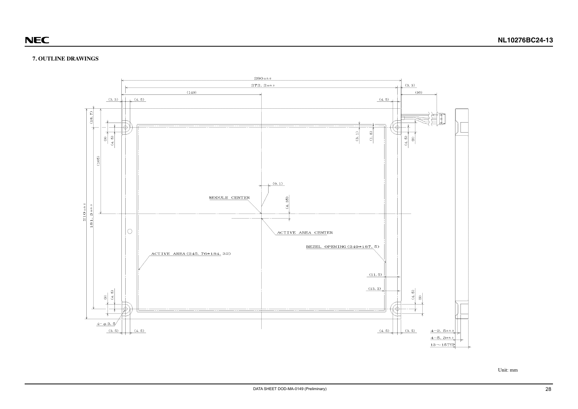### **NL10276BC24-13**

### <span id="page-27-0"></span>**7. OUTLINE DRAWINGS**